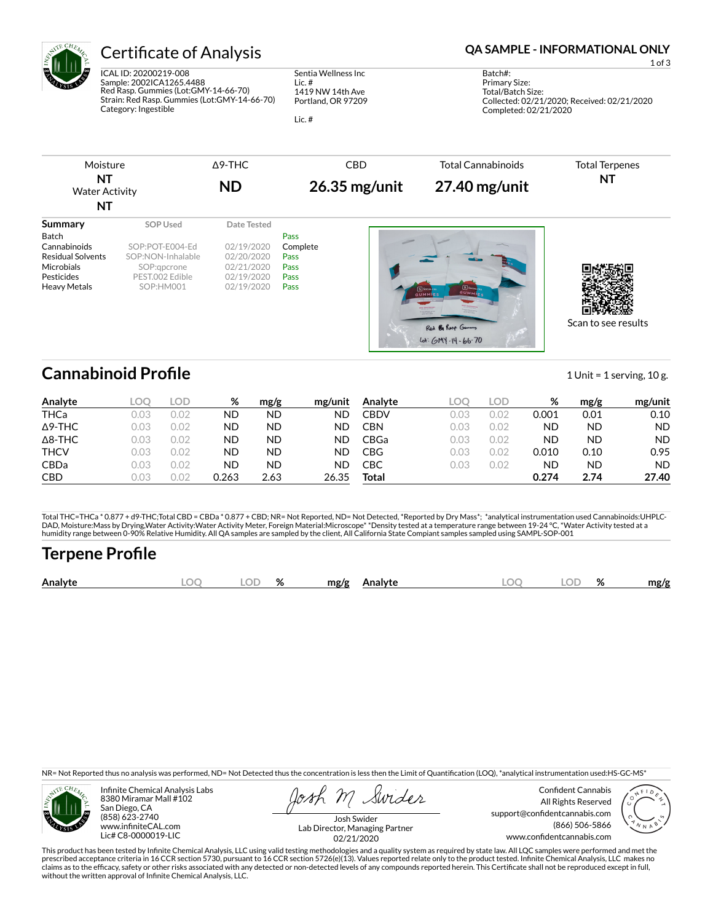

# Certificate of Analysis **Certificate of Analysis QA SAMPLE - INFORMATIONAL ONLY**

ICAL ID: 20200219-008 Sample: 2002ICA1265.4488 Red Rasp. Gummies (Lot:GMY-14-66-70) Strain: Red Rasp. Gummies (Lot:GMY-14-66-70) Category: Ingestible

Sentia Wellness Inc Lic. # 1419 NW 14th Ave Portland, OR 97209

Lic. #

1 of 3

Batch#: Primary Size: Total/Batch Size: Collected: 02/21/2020; Received: 02/21/2020 Completed: 02/21/2020

| Moisture                    | ∆9-THC    | CBD             | Total Cannabinoids | <b>Total Terpenes</b> |
|-----------------------------|-----------|-----------------|--------------------|-----------------------|
| NT<br><b>Water Activity</b> | <b>ND</b> | $26.35$ mg/unit | $27.40$ mg/unit    | NT                    |

| <b>NT</b>                                                                                                       |                                                                                                 |                                                                                   |                                                  |                                                                               |                     |
|-----------------------------------------------------------------------------------------------------------------|-------------------------------------------------------------------------------------------------|-----------------------------------------------------------------------------------|--------------------------------------------------|-------------------------------------------------------------------------------|---------------------|
| Summary<br>Batch<br>Cannabinoids<br><b>Residual Solvents</b><br>Microbials<br>Pesticides<br><b>Heavy Metals</b> | SOP Used<br>SOP:POT-E004-Ed<br>SOP:NON-Inhalable<br>SOP:gpcrone<br>PEST.002 Edible<br>SOP:HM001 | Date Tested<br>02/19/2020<br>02/20/2020<br>02/21/2020<br>02/19/2020<br>02/19/2020 | Pass<br>Complete<br>Pass<br>Pass<br>Pass<br>Pass | $S$ social<br>$S$ Social<br><b>GUMMIE</b><br><b>GUMMLES</b><br><b>EXAMPLE</b> |                     |
|                                                                                                                 |                                                                                                 |                                                                                   |                                                  | Red By Roop Gummy<br>$16 + 60 + 14 - 66 - 70$                                 | Scan to see results |

## **Cannabinoid Profile** 1 Unit = 1 serving, 10 g.

| Analyte        | LOO  | LOD.   | %     | mg/g | mg/unit | Analyte     | LOC  | LOD. | %     | mg/g | mg/unit   |
|----------------|------|--------|-------|------|---------|-------------|------|------|-------|------|-----------|
| <b>THCa</b>    | 0.03 | 0.02   | ND    | ND   | ND      | CBDV        | 0.03 | 0.02 | 0.001 | 0.01 | 0.10      |
| $\Delta$ 9-THC | 0.03 | 0.02   | ND    | ND   | ND      | <b>CBN</b>  | 0.03 | 0.02 | ND    | ND   | <b>ND</b> |
| $\Delta$ 8-THC | 0.03 | 0.02   | ND    | ND   | ND      | <b>CBGa</b> | 0.03 | 0.02 | ND    | ND   | <b>ND</b> |
| <b>THCV</b>    | 0.03 | 0.02   | ND    | ND   | ND      | <b>CBG</b>  | 0.03 | 0.02 | 0.010 | 0.10 | 0.95      |
| <b>CBDa</b>    | 0.03 | 0.02   | ND    | ND   | ND      | СВС         | 0.03 | 0.02 | ND    | ND   | <b>ND</b> |
| <b>CBD</b>     | 0.03 | ' J.U∠ | 0.263 | 2.63 | 26.35   | Total       |      |      | 0.274 | 2.74 | 27.40     |

Total THC=THCa \* 0.877 + d9-THC;Total CBD = CBDa \* 0.877 + CBD; NR= Not Reported, ND= Not Detected, \*Reported by Dry Mass\*; \*analytical instrumentation used Cannabinoids:UHPLC-DAD, Moisture:Mass by Drying,Water Activity:Water Activity Meter, Foreign Material:Microscope\* \*Density tested at a temperature range between 19-24 °C, \*Water Activity tested at a<br>humidity range between 0-90% Relative Humi

## **Terpene Profile**

| Analy | OΓ | $\mathbf{a}$<br>70 | mø/s |  | λľ | 07<br>$70^{\circ}$ | .no/o |
|-------|----|--------------------|------|--|----|--------------------|-------|
|       |    |                    |      |  |    |                    |       |

NR= Not Reported thus no analysis was performed, ND= Not Detected thus the concentration is less then the Limit of Quantification (LOQ), \*analytical instrumentation used:HS-GC-MS\*



Infinite Chemical Analysis Labs 8380 Miramar Mall #102 San Diego, CA (858) 623-2740 www.infiniteCAL.com Lic# C8-0000019-LIC

Swides

Confident Cannabis All Rights Reserved support@confidentcannabis.com (866) 506-5866 www.confidentcannabis.com



Josh Swider Lab Director, Managing Partner 02/21/2020

This product has been tested by Infinite Chemical Analysis, LLC using valid testing methodologies and a quality system as required by state law. All LQC samples were performed and met the prescribed acceptance criteria in 16 CCR section 5730, pursuant to 16 CCR section 5726(e)(13). Values reported relate only to the product tested. Infinite Chemical Analysis, LLC makes no<br>claims as to the efficacy, safety o without the written approval of Infinite Chemical Analysis, LLC.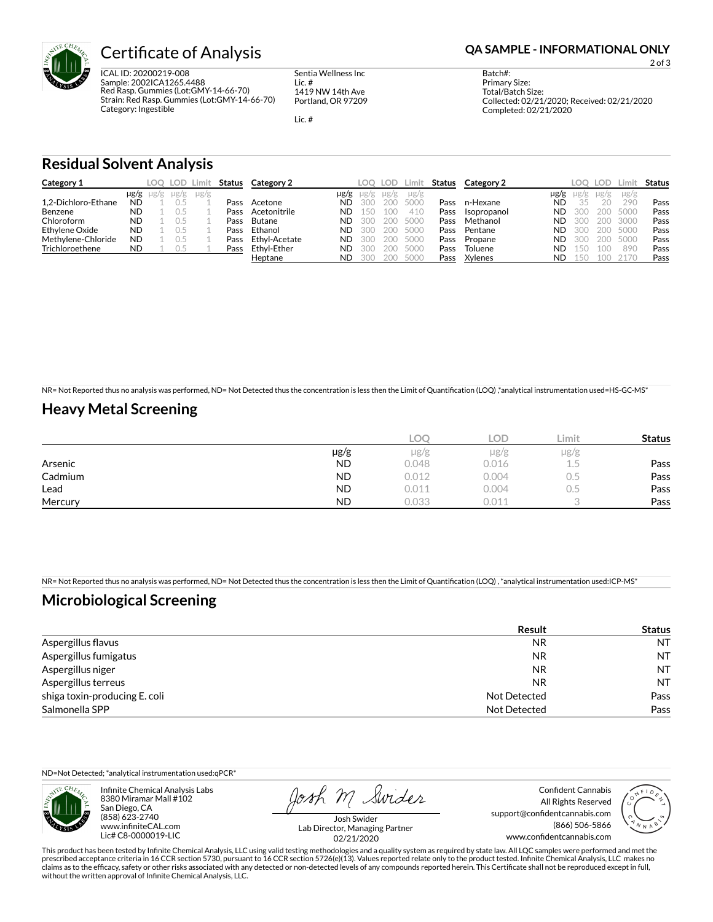

ICAL ID: 20200219-008 Sample: 2002ICA1265.4488 Red Rasp. Gummies (Lot:GMY-14-66-70) Strain: Red Rasp. Gummies (Lot:GMY-14-66-70) Category: Ingestible

Sentia Wellness Inc Lic. # 1419 NW 14th Ave Portland, OR 97209

Lic. #

2 of 3

Batch#: Primary Size: Total/Batch Size: Collected: 02/21/2020; Received: 02/21/2020 Completed: 02/21/2020

### **Residual Solvent Analysis**

| Category 1          |           |                     | LOO LOD I | Limit     | Status | Category 2    |           |      | LOO LOD | Limit     | Status | Category 2  |      | LOO.      | LOD.   | Limit -   | Status |
|---------------------|-----------|---------------------|-----------|-----------|--------|---------------|-----------|------|---------|-----------|--------|-------------|------|-----------|--------|-----------|--------|
|                     |           | $\mu$ g/g $\mu$ g/g | $\mu$ g/g | $\mu$ g/g |        |               | $\mu$ g/g | ug/g | ug/g    | $\mu$ g/g |        |             | µg/g | $\mu$ g/g | µg/g   | $\mu$ g/g |        |
| 1.2-Dichloro-Ethane | <b>ND</b> |                     |           |           | Pass   | Acetone       | ND        | 300  | 200     | 5000      | Pass   | n-Hexane    | ND   | 35        | $20 -$ | 290       | Pass   |
| Benzene             | <b>ND</b> |                     |           |           | Pass   | Acetonitrile  | ND        | 150  | 100     | 410       | Pass   | Isopropanol | ND   | 300       | 200    | 5000      | Pass   |
| Chloroform          | <b>ND</b> |                     |           |           | Pass   | Butane        | <b>ND</b> | 300  | 200     | 5000      | Pass   | Methanol    | ND   | 300       | 200    | 3000      | Pass   |
| Ethylene Oxide      | <b>ND</b> |                     |           |           | Pass   | Ethanol       | <b>ND</b> | 300  | 200     | 5000      | Pass   | Pentane     | ND   | 300       | 200    | 5000      | Pass   |
| Methylene-Chloride  | <b>ND</b> |                     |           |           | Pass   | Ethyl-Acetate | ND        | 300  | 200     | 5000      | Pass   | Propane     | ND   | 300       | 200    | 5000      | Pass   |
| Trichloroethene     | <b>ND</b> |                     | U.5       |           | Pass   | Ethvl-Ether   | ND        | 300  | 200     | 5000      | Pass   | Toluene     | ND   | 150       | 100    | 890       | Pass   |
|                     |           |                     |           |           |        | Heptane       | ND        | 300  | 200     | 5000      | Pass   | Xylenes     | ND   | 150       | 100    | 2170      | Pass   |

NR= Not Reported thus no analysis was performed, ND= Not Detected thus the concentration is less then the Limit of Quantification (LOQ),\*analytical instrumentation used=HS-GC-MS\*

### **Heavy Metal Screening**

|         |           | COC       | <b>LOD</b> | Limit | <b>Status</b> |
|---------|-----------|-----------|------------|-------|---------------|
|         | µg/g      | $\mu$ g/g | $\mu$ g/g  | µg/g  |               |
| Arsenic | <b>ND</b> | 0.048     | 0.016      | L.5   | Pass          |
| Cadmium | <b>ND</b> | 0.012     | 0.004      | U.5   | Pass          |
| Lead    | <b>ND</b> | 0.011     | 0.004      | J.5   | Pass          |
| Mercury | <b>ND</b> | 0.033     | 0.011      |       | Pass          |

NR= Not Reported thus no analysis was performed, ND= Not Detected thus the concentration is less then the Limit of Quantification (LOQ), \*analytical instrumentation used:ICP-MS\*

### **Microbiological Screening**

|                               | <b>Result</b> | <b>Status</b> |
|-------------------------------|---------------|---------------|
| Aspergillus flavus            | <b>NR</b>     | <b>NT</b>     |
| Aspergillus fumigatus         | NR            | <b>NT</b>     |
| Aspergillus niger             | NR            | <b>NT</b>     |
| Aspergillus terreus           | NR            | <b>NT</b>     |
| shiga toxin-producing E. coli | Not Detected  | Pass          |
| Salmonella SPP                | Not Detected  | Pass          |

ND=Not Detected; \*analytical instrumentation used:qPCR\*

Infinite Chemical Analysis Labs 8380 Miramar Mall #102 San Diego, CA (858) 623-2740 www.infiniteCAL.com Lic# C8-0000019-LIC

Josh M Swider

Confident Cannabis All Rights Reserved support@confidentcannabis.com (866) 506-5866 www.confidentcannabis.com



Josh Swider Lab Director, Managing Partner 02/21/2020

This product has been tested by Infinite Chemical Analysis, LLC using valid testing methodologies and a quality system as required by state law. All LQC samples were performed and met the prescribed acceptance criteria in 16 CCR section 5730, pursuant to 16 CCR section 5726(e)(13). Values reported relate only to the product tested. Infinite Chemical Analysis, LLC makes no<br>claims as to the efficacy, safety o without the written approval of Infinite Chemical Analysis, LLC.